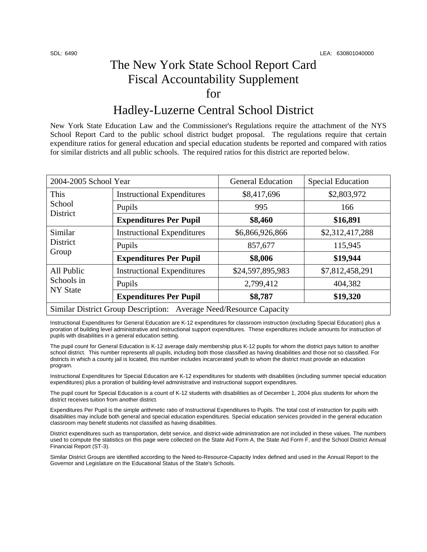## The New York State School Report Card Fiscal Accountability Supplement for

### Hadley-Luzerne Central School District

New York State Education Law and the Commissioner's Regulations require the attachment of the NYS School Report Card to the public school district budget proposal. The regulations require that certain expenditure ratios for general education and special education students be reported and compared with ratios for similar districts and all public schools. The required ratios for this district are reported below.

| 2004-2005 School Year                                              |                                   | <b>General Education</b> | <b>Special Education</b> |  |
|--------------------------------------------------------------------|-----------------------------------|--------------------------|--------------------------|--|
| This<br>School<br>District                                         | <b>Instructional Expenditures</b> | \$8,417,696              | \$2,803,972              |  |
|                                                                    | Pupils                            | 995                      | 166                      |  |
|                                                                    | <b>Expenditures Per Pupil</b>     | \$8,460                  | \$16,891                 |  |
| Similar<br>District<br>Group                                       | <b>Instructional Expenditures</b> | \$6,866,926,866          | \$2,312,417,288          |  |
|                                                                    | Pupils                            | 857,677                  | 115,945                  |  |
|                                                                    | <b>Expenditures Per Pupil</b>     | \$8,006                  | \$19,944                 |  |
| All Public<br>Schools in<br><b>NY State</b>                        | <b>Instructional Expenditures</b> | \$24,597,895,983         | \$7,812,458,291          |  |
|                                                                    | Pupils                            | 2,799,412                | 404,382                  |  |
|                                                                    | <b>Expenditures Per Pupil</b>     | \$8,787                  | \$19,320                 |  |
| Similar District Group Description: Average Need/Resource Capacity |                                   |                          |                          |  |

Instructional Expenditures for General Education are K-12 expenditures for classroom instruction (excluding Special Education) plus a proration of building level administrative and instructional support expenditures. These expenditures include amounts for instruction of pupils with disabilities in a general education setting.

The pupil count for General Education is K-12 average daily membership plus K-12 pupils for whom the district pays tuition to another school district. This number represents all pupils, including both those classified as having disabilities and those not so classified. For districts in which a county jail is located, this number includes incarcerated youth to whom the district must provide an education program.

Instructional Expenditures for Special Education are K-12 expenditures for students with disabilities (including summer special education expenditures) plus a proration of building-level administrative and instructional support expenditures.

The pupil count for Special Education is a count of K-12 students with disabilities as of December 1, 2004 plus students for whom the district receives tuition from another district.

Expenditures Per Pupil is the simple arithmetic ratio of Instructional Expenditures to Pupils. The total cost of instruction for pupils with disabilities may include both general and special education expenditures. Special education services provided in the general education classroom may benefit students not classified as having disabilities.

District expenditures such as transportation, debt service, and district-wide administration are not included in these values. The numbers used to compute the statistics on this page were collected on the State Aid Form A, the State Aid Form F, and the School District Annual Financial Report (ST-3).

Similar District Groups are identified according to the Need-to-Resource-Capacity Index defined and used in the Annual Report to the Governor and Legislature on the Educational Status of the State's Schools.